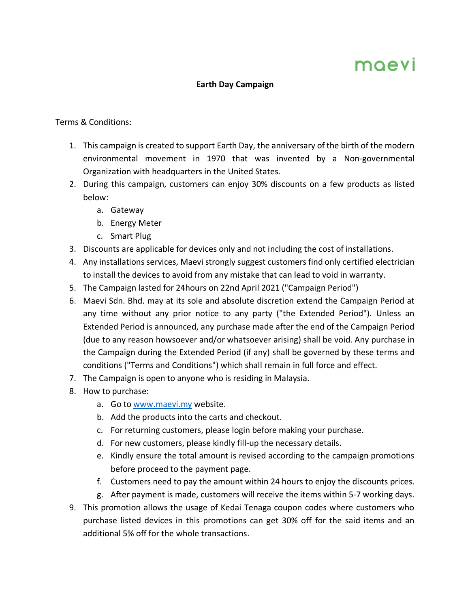## moevi

## **Earth Day Campaign**

## Terms & Conditions:

- 1. This campaign is created to support Earth Day, the anniversary of the birth of the modern environmental movement in 1970 that was invented by a Non-governmental Organization with headquarters in the United States.
- 2. During this campaign, customers can enjoy 30% discounts on a few products as listed below:
	- a. Gateway
	- b. Energy Meter
	- c. Smart Plug
- 3. Discounts are applicable for devices only and not including the cost of installations.
- 4. Any installations services, Maevi strongly suggest customers find only certified electrician to install the devices to avoid from any mistake that can lead to void in warranty.
- 5. The Campaign lasted for 24hours on 22nd April 2021 ("Campaign Period")
- 6. Maevi Sdn. Bhd. may at its sole and absolute discretion extend the Campaign Period at any time without any prior notice to any party ("the Extended Period"). Unless an Extended Period is announced, any purchase made after the end of the Campaign Period (due to any reason howsoever and/or whatsoever arising) shall be void. Any purchase in the Campaign during the Extended Period (if any) shall be governed by these terms and conditions ("Terms and Conditions") which shall remain in full force and effect.
- 7. The Campaign is open to anyone who is residing in Malaysia.
- 8. How to purchase:
	- a. Go to www.maevi.my website.
	- b. Add the products into the carts and checkout.
	- c. For returning customers, please login before making your purchase.
	- d. For new customers, please kindly fill-up the necessary details.
	- e. Kindly ensure the total amount is revised according to the campaign promotions before proceed to the payment page.
	- f. Customers need to pay the amount within 24 hours to enjoy the discounts prices.
	- g. After payment is made, customers will receive the items within 5-7 working days.
- 9. This promotion allows the usage of Kedai Tenaga coupon codes where customers who purchase listed devices in this promotions can get 30% off for the said items and an additional 5% off for the whole transactions.